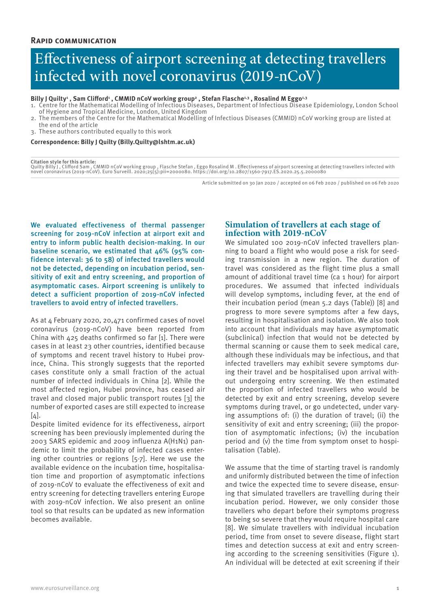# Effectiveness of airport screening at detecting travellers infected with novel coronavirus (2019-nCoV)

## Billy J Quilty<sup>,</sup> Sam Clifford<sup>,</sup> , CMMID nCoV working group<sup>2</sup> , Stefan Flasche<sup>1,3</sup> , Rosalind M Eggo<sup>1,3</sup>

- 1. Centre for the Mathematical Modelling of Infectious Diseases, Department of Infectious Disease Epidemiology, London School of Hygiene and Tropical Medicine, London, United Kingdom
- 2. The members of the Centre for the Mathematical Modelling of Infectious Diseases (CMMID) nCoV working group are listed at the end of the article
- 3. These authors contributed equally to this work

## **Correspondence: Billy J Quilty (Billy.Quilty@lshtm.ac.uk)**

#### **Citation style for this article:**

Quilty Billy J , Clifford Sam , CMMID nCoV working group , Flasche Stefan , Eggo Rosalind M . Effectiveness of airport screening at detecting travellers infected with<br>novel coronavirus (2019-nCoV). Euro Surveill. 2020;25(5

Article submitted on 30 Jan 2020 / accepted on 06 Feb 2020 / published on 06 Feb 2020

We evaluated effectiveness of thermal passenger screening for 2019-nCoV infection at airport exit and entry to inform public health decision-making. In our baseline scenario, we estimated that 46% (95% confidence interval: 36 to 58) of infected travellers would not be detected, depending on incubation period, sensitivity of exit and entry screening, and proportion of asymptomatic cases. Airport screening is unlikely to detect a sufficient proportion of 2019-nCoV infected travellers to avoid entry of infected travellers.

As at 4 February 2020, 20,471 confirmed cases of novel coronavirus (2019-nCoV) have been reported from China with 425 deaths confirmed so far [1]. There were cases in at least 23 other countries, identified because of symptoms and recent travel history to Hubei province, China. This strongly suggests that the reported cases constitute only a small fraction of the actual number of infected individuals in China [2]. While the most affected region, Hubei province, has ceased air travel and closed major public transport routes [3] the number of exported cases are still expected to increase  $[4]$ .

Despite limited evidence for its effectiveness, airport screening has been previously implemented during the 2003 SARS epidemic and 2009 influenza A(H1N1) pandemic to limit the probability of infected cases entering other countries or regions [5-7]. Here we use the available evidence on the incubation time, hospitalisation time and proportion of asymptomatic infections of 2019-nCoV to evaluate the effectiveness of exit and entry screening for detecting travellers entering Europe with 2019-nCoV infection. We also present an online tool so that results can be updated as new information becomes available.

# **Simulation of travellers at each stage of infection with 2019-nCoV**

We simulated 100 2019-nCoV infected travellers planning to board a flight who would pose a risk for seeding transmission in a new region. The duration of travel was considered as the flight time plus a small amount of additional travel time (ca 1 hour) for airport procedures. We assumed that infected individuals will develop symptoms, including fever, at the end of their incubation period (mean 5.2 days (Table)) [8] and progress to more severe symptoms after a few days, resulting in hospitalisation and isolation. We also took into account that individuals may have asymptomatic (subclinical) infection that would not be detected by thermal scanning or cause them to seek medical care, although these individuals may be infectious, and that infected travellers may exhibit severe symptoms during their travel and be hospitalised upon arrival without undergoing entry screening. We then estimated the proportion of infected travellers who would be detected by exit and entry screening, develop severe symptoms during travel, or go undetected, under varying assumptions of: (i) the duration of travel; (ii) the sensitivity of exit and entry screening; (iii) the proportion of asymptomatic infections; (iv) the incubation period and (v) the time from symptom onset to hospitalisation (Table).

We assume that the time of starting travel is randomly and uniformly distributed between the time of infection and twice the expected time to severe disease, ensuring that simulated travellers are travelling during their incubation period. However, we only consider those travellers who depart before their symptoms progress to being so severe that they would require hospital care [8]. We simulate travellers with individual incubation period, time from onset to severe disease, flight start times and detection success at exit and entry screening according to the screening sensitivities (Figure 1). An individual will be detected at exit screening if their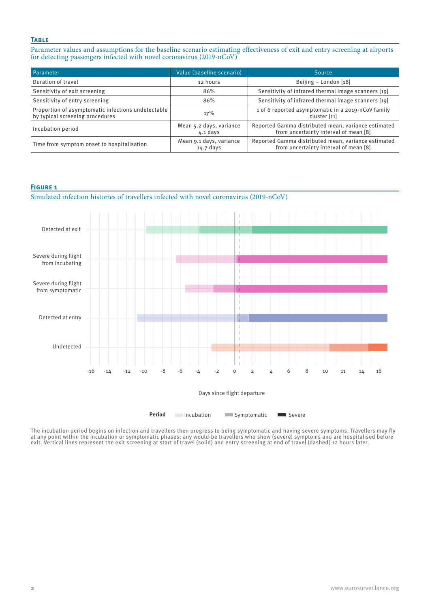## **Table**

Parameter values and assumptions for the baseline scenario estimating effectiveness of exit and entry screening at airports for detecting passengers infected with novel coronavirus (2019-nCoV)

| Parameter                                                                             | Value (baseline scenario)             | Source                                                                                       |
|---------------------------------------------------------------------------------------|---------------------------------------|----------------------------------------------------------------------------------------------|
| Duration of travel                                                                    | 12 hours                              | Beijing - London [18]                                                                        |
| Sensitivity of exit screening                                                         | 86%                                   | Sensitivity of infrared thermal image scanners [19]                                          |
| Sensitivity of entry screening                                                        | 86%                                   | Sensitivity of infrared thermal image scanners [19]                                          |
| Proportion of asymptomatic infections undetectable<br>by typical screening procedures | 17%                                   | 1 of 6 reported asymptomatic in a 2019-nCoV family<br>cluster [11]                           |
| Incubation period                                                                     | Mean 5.2 days, variance<br>$4.1$ days | Reported Gamma distributed mean, variance estimated<br>from uncertainty interval of mean [8] |
| Time from symptom onset to hospitalisation                                            | Mean 9.1 days, variance<br>14.7 days  | Reported Gamma distributed mean, variance estimated<br>from uncertainty interval of mean [8] |

## **Figure 1**

Simulated infection histories of travellers infected with novel coronavirus (2019-nCoV)



**Period** Incubation Symptomatic Severe

The incubation period begins on infection and travellers then progress to being symptomatic and having severe symptoms. Travellers may fly at any point within the incubation or symptomatic phases; any would-be travellers who show (severe) symptoms and are hospitalised before exit. Vertical lines represent the exit screening at start of travel (solid) and entry screening at end of travel (dashed) 12 hours later.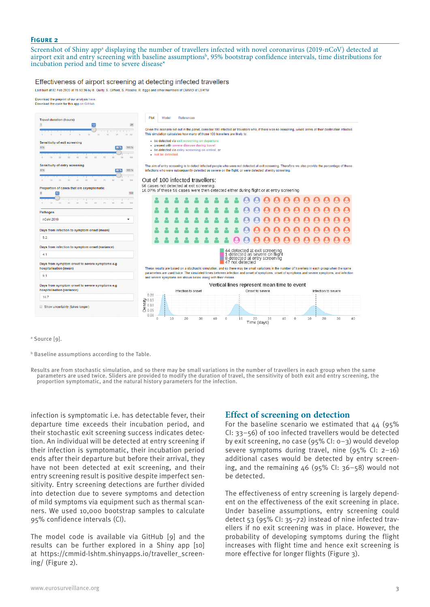## **Figure 2**

Screenshot of Shiny app<sup>a</sup> displaying the number of travellers infected with novel coronavirus (2019-nCoV) detected at airport exit and entry screening with baseline assumptionsb, 95% bootstrap confidence intervals, time distributions for incubation period and time to severe disease\*

#### Effectiveness of airport screening at detecting infected travellers

Last built at 02 Feb 2020 at 15:50:36 by B. Quilty, S. Clifford, S. Flasche, R. Eggo and other members of CMMID at LSHTM



a Source [9].

b Baseline assumptions according to the Table.

Results are from stochastic simulation, and so there may be small variations in the number of travellers in each group when the same parameters are used twice. Sliders are provided to modify the duration of travel, the sensitivity of both exit and entry screening, the proportion symptomatic, and the natural history parameters for the infection.

infection is symptomatic i.e. has detectable fever, their departure time exceeds their incubation period, and their stochastic exit screening success indicates detection. An individual will be detected at entry screening if their infection is symptomatic, their incubation period ends after their departure but before their arrival, they have not been detected at exit screening, and their entry screening result is positive despite imperfect sensitivity. Entry screening detections are further divided into detection due to severe symptoms and detection of mild symptoms via equipment such as thermal scanners. We used 10,000 bootstrap samples to calculate 95% confidence intervals (CI).

The model code is available via GitHub [9] and the results can be further explored in a Shiny app [10] at https://cmmid-lshtm.shinyapps.io/traveller\_screening/ (Figure 2).

## **Effect of screening on detection**

For the baseline scenario we estimated that  $44$  (95%) CI: 33–56) of 100 infected travellers would be detected by exit screening, no case (95% CI: 0–3) would develop severe symptoms during travel, nine (95% CI: 2–16) additional cases would be detected by entry screening, and the remaining 46 (95% CI: 36–58) would not be detected.

The effectiveness of entry screening is largely dependent on the effectiveness of the exit screening in place. Under baseline assumptions, entry screening could detect 53 (95% CI: 35–72) instead of nine infected travellers if no exit screening was in place. However, the probability of developing symptoms during the flight increases with flight time and hence exit screening is more effective for longer flights (Figure 3).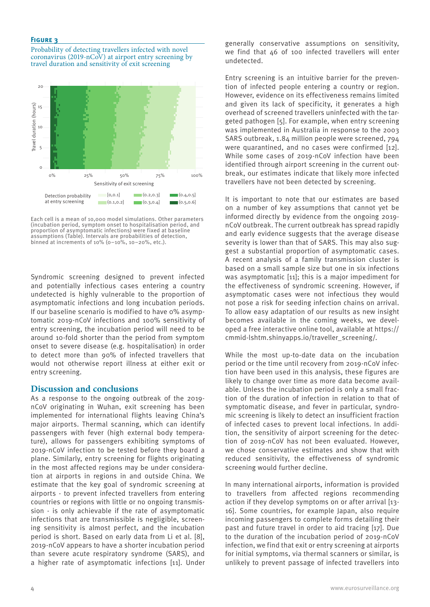## **Figure 3**

Probability of detecting travellers infected with novel coronavirus (2019-nCoV) at airport entry screening by travel duration and sensitivity of exit screening



Each cell is a mean of 10,000 model simulations. Other parameters (incubation period, symptom onset to hospitalisation period, and proportion of asymptomatic infections) were fixed at baseline assumptions (Table). Intervals are probabilities of detection, binned at increments of  $10\%$  (0-10%,  $10-20\%$ , etc.).

Syndromic screening designed to prevent infected and potentially infectious cases entering a country undetected is highly vulnerable to the proportion of asymptomatic infections and long incubation periods. If our baseline scenario is modified to have 0% asymptomatic 2019-nCoV infections and 100% sensitivity of entry screening, the incubation period will need to be around 10-fold shorter than the period from symptom onset to severe disease (e.g. hospitalisation) in order to detect more than 90% of infected travellers that would not otherwise report illness at either exit or entry screening.

## **Discussion and conclusions**

As a response to the ongoing outbreak of the 2019 nCoV originating in Wuhan, exit screening has been implemented for international flights leaving China's major airports. Thermal scanning, which can identify passengers with fever (high external body temperature), allows for passengers exhibiting symptoms of 2019-nCoV infection to be tested before they board a plane. Similarly, entry screening for flights originating in the most affected regions may be under consideration at airports in regions in and outside China. We estimate that the key goal of syndromic screening at airports - to prevent infected travellers from entering countries or regions with little or no ongoing transmission - is only achievable if the rate of asymptomatic infections that are transmissible is negligible, screening sensitivity is almost perfect, and the incubation period is short. Based on early data from Li et al. [8], 2019-nCoV appears to have a shorter incubation period than severe acute respiratory syndrome (SARS), and a higher rate of asymptomatic infections [11]. Under generally conservative assumptions on sensitivity, we find that 46 of 100 infected travellers will enter undetected.

Entry screening is an intuitive barrier for the prevention of infected people entering a country or region. However, evidence on its effectiveness remains limited and given its lack of specificity, it generates a high overhead of screened travellers uninfected with the targeted pathogen [5]. For example, when entry screening was implemented in Australia in response to the 2003 SARS outbreak, 1.84 million people were screened, 794 were quarantined, and no cases were confirmed [12]. While some cases of 2019-nCoV infection have been identified through airport screening in the current outbreak, our estimates indicate that likely more infected travellers have not been detected by screening.

It is important to note that our estimates are based on a number of key assumptions that cannot yet be informed directly by evidence from the ongoing 2019 nCoV outbreak. The current outbreak has spread rapidly and early evidence suggests that the average disease severity is lower than that of SARS. This may also suggest a substantial proportion of asymptomatic cases. A recent analysis of a family transmission cluster is based on a small sample size but one in six infections was asymptomatic [11]; this is a major impediment for the effectiveness of syndromic screening. However, if asymptomatic cases were not infectious they would not pose a risk for seeding infection chains on arrival. To allow easy adaptation of our results as new insight becomes available in the coming weeks, we developed a free interactive online tool, available at https:// cmmid-lshtm.shinyapps.io/traveller\_screening/.

While the most up-to-date data on the incubation period or the time until recovery from 2019-nCoV infection have been used in this analysis, these figures are likely to change over time as more data become available. Unless the incubation period is only a small fraction of the duration of infection in relation to that of symptomatic disease, and fever in particular, syndromic screening is likely to detect an insufficient fraction of infected cases to prevent local infections. In addition, the sensitivity of airport screening for the detection of 2019-nCoV has not been evaluated. However, we chose conservative estimates and show that with reduced sensitivity, the effectiveness of syndromic screening would further decline.

In many international airports, information is provided to travellers from affected regions recommending action if they develop symptoms on or after arrival [13- 16]. Some countries, for example Japan, also require incoming passengers to complete forms detailing their past and future travel in order to aid tracing [17]. Due to the duration of the incubation period of 2019-nCoV infection, we find that exit or entry screening at airports for initial symptoms, via thermal scanners or similar, is unlikely to prevent passage of infected travellers into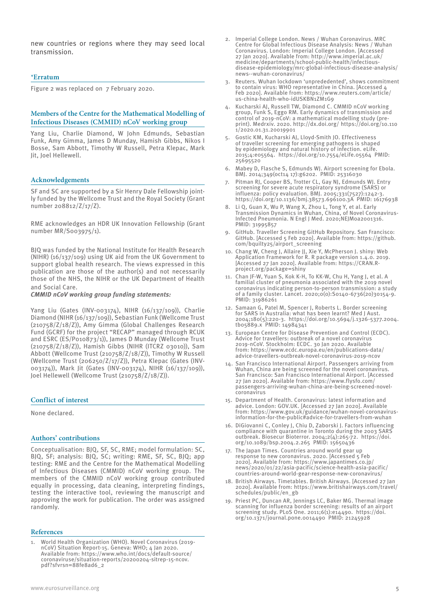new countries or regions where they may seed local transmission.

## \***Erratum**

Figure 2 was replaced on 7 February 2020.

## **Members of the Centre for the Mathematical Modelling of Infectious Diseases (CMMID) nCoV working group**

Yang Liu, Charlie Diamond, W John Edmunds, Sebastian Funk, Amy Gimma, James D Munday, Hamish Gibbs, Nikos I Bosse, Sam Abbott, Timothy W Russell, Petra Klepac, Mark Jit, Joel Hellewell.

#### **Acknowledgements**

SF and SC are supported by a Sir Henry Dale Fellowship jointly funded by the Wellcome Trust and the Royal Society (Grant number 208812/Z/17/Z).

RME acknowledges an HDR UK Innovation Fellowship (Grant number MR/S003975/1).

BJQ was funded by the National Institute for Health Research (NIHR) (16/137/109) using UK aid from the UK Government to support global health research. The views expressed in this publication are those of the author(s) and not necessarily those of the NHS, the NIHR or the UK Department of Health and Social Care.

*CMMID nCoV working group funding statements:*

Yang Liu (Gates (INV-003174), NIHR (16/137/109)), Charlie Diamond (NIHR (16/137/109)), Sebastian Funk (Wellcome Trust (210758/Z/18/Z)), Amy Gimma (Global Challenges Research Fund (GCRF) for the project "RECAP" managed through RCUK and ESRC (ES/P010873/1)), James D Munday (Wellcome Trust (210758/Z/18/Z)), Hamish Gibbs (NIHR (ITCRZ 03010)), Sam Abbott (Wellcome Trust (210758/Z/18/Z)), Timothy W Russell (Wellcome Trust (206250/Z/17/Z)), Petra Klepac (Gates (INV-003174)), Mark Jit (Gates (INV-003174), NIHR (16/137/109)), Joel Hellewell (Wellcome Trust (210758/Z/18/Z)).

#### **Conflict of interest**

None declared.

#### **Authors' contributions**

Conceptualisation: BJQ, SF, SC, RME; model formulation: SC, BJQ, SF; analysis: BJQ, SC; writing: RME, SF, SC, BJQ; app testing: RME and the Centre for the Mathematical Modelling of Infectious Diseases (CMMID) nCoV working group. The members of the CMMID nCoV working group contributed equally in processing, data cleaning, interpreting findings, testing the interactive tool, reviewing the manuscript and approving the work for publication. The order was assigned randomly.

#### **References**

1. World Health Organization (WHO). Novel Coronavirus (2019 nCoV) Situation Report-15. Geneva: WHO; 4 Jan 2020. Available from: https://www.who.int/docs/default-source/ coronaviruse/situation-reports/20200204-sitrep-15-ncov. pdf?sfvrsn=88fe8ad6\_2

- 2. Imperial College London. News / Wuhan Coronavirus. MRC Centre for Global Infectious Disease Analysis: News / Wuhan Coronavirus. London: Imperial College London. [Accessed 27 Jan 2020]. Available from: http://www.imperial.ac.uk/ medicine/departments/school-public-health/infectiousdisease-epidemiology/mrc-global-infectious-disease-analysis/ news--wuhan-coronavirus/
- 3. Reuters. Wuhan lockdown 'unprededented', shows commitment to contain virus: WHO representative in China. [Accessed 4 Feb 2020]. Available from: https://www.reuters.com/article/ us-china-health-who-idUSKBN1ZM1G9
- 4. Kucharski AJ, Russell TW, Diamond C. CMMID nCoV working group, Funk S, Eggo RM. Early dynamics of transmission and control of 2019-nCoV: a mathematical modelling study (preprint). Medrxiv. 2020. http://dx.doi.org/ https://doi.org/10.110 1/2020.01.31.20019901
- 5. Gostic KM, Kucharski AJ, Lloyd-Smith JO. Effectiveness of traveller screening for emerging pathogens is shaped by epidemiology and natural history of infection. eLife. 2015;4:e05564. https://doi.org/10.7554/eLife.05564 PMID: 25695520
- 6. Mabey D, Flasche S, Edmunds WJ. Airport screening for Ebola. BMJ. 2014;349(oct14 17):g6202. PMID: 25316030
- Pitman RJ, Cooper BS, Trotter CL, Gay NJ, Edmunds WJ. Entry screening for severe acute respiratory syndrome (SARS) or influenza: policy evaluation. BMJ. 2005;331(7527):1242-3. https://doi.org/10.1136/bmj.38573.696100.3A PMID: 16176938
- 8. Li Q, Guan X, Wu P, Wang X, Zhou L, Tong Y, et al. Early Transmission Dynamics in Wuhan, China, of Novel Coronavirus-Infected Pneumonia. N Engl J Med. 2020;NEJMoa2001316. PMID: 31995857
- 9. GitHub. Traveller Screening GitHub Repository. San Francisco: GitHub. [Accessed 5 Feb 2020]. Available from: https://github. com/bquilty25/airport\_screening
- 10. Chang W, Cheng J, Allaire JJ, Xie Y, McPherson J. shiny: Web Application Framework for R. R package version 1.4.0. 2019. [Accessed 27 Jan 2020]. Available from: https://CRAN.Rproject.org/package=shiny
- 11. Chan JF-W, Yuan S, Kok K-H, To KK-W, Chu H, Yang J, et al. A familial cluster of pneumonia associated with the 2019 novel coronavirus indicating person-to-person transmission: a study of a family cluster. Lancet. 2020;0(0):S0140-6736(20)30154-9. PMID: 31986261
- 12. Samaan G, Patel M, Spencer J, Roberts L. Border screening for SARS in Australia: what has been learnt? Med J Aust. 2004;180(5):220-3. https://doi.org/10.5694/j.1326-5377.2004. tb05889.x PMID: 14984341
- 13. European Centre for Disease Prevention and Control (ECDC). Advice for travellers: outbreak of a novel coronavirus 2019-nCoV. Stockholm: ECDC. 30 Jan 2020. Available from: https://www.ecdc.europa.eu/en/publications-data/ advice-travellers-outbreak-novel-coronavirus-2019-ncov
- San Francisco International Airport. Passengers arriving from Wuhan, China are being screened for the novel coronavirus. San Francisco: San Francisco International Airport. [Accessed 27 Jan 2020]. Available from: https://www.flysfo.com/ passengers-arriving-wuhan-china-are-being-screened-novelcoronavirus
- 15. Department of Health. Coronavirus: latest information and advice. London: GOV.UK. [Accessed 27 Jan 2020]. Available from: https://www.gov.uk/guidance/wuhan-novel-coronavirusinformation-for-the-public#advice-for-travellers-from-wuhan
- 16. DiGiovanni C, Conley J, Chiu D, Zaborski J. Factors influencing compliance with quarantine in Toronto during the 2003 SARS outbreak. Biosecur Bioterror. 2004;2(4):265-72. https://doi. org/10.1089/bsp.2004.2.265 PMID: 15650436
- 17. The Japan Times. Countries around world gear up response to new coronavirus. 2020. [Accessed 5 Feb 2020]. Available from: https://www.japantimes.co.jp/ news/2020/01/22/asia-pacific/science-health-asia-pacific/ countries-around-world-gear-response-new-coronavirus/
- 18. British Airways. Timetables. British Airways. [Accessed 27 Jan 2020]. Available from: https://www.britishairways.com/travel/ schedules/public/en\_gb
- 19. Priest PC, Duncan AR, Jennings LC, Baker MG. Thermal image scanning for influenza border screening: results of an airport screening study. PLoS One. 2011;6(1):e14490. https://doi. org/10.1371/journal.pone.0014490 PMID: 21245928